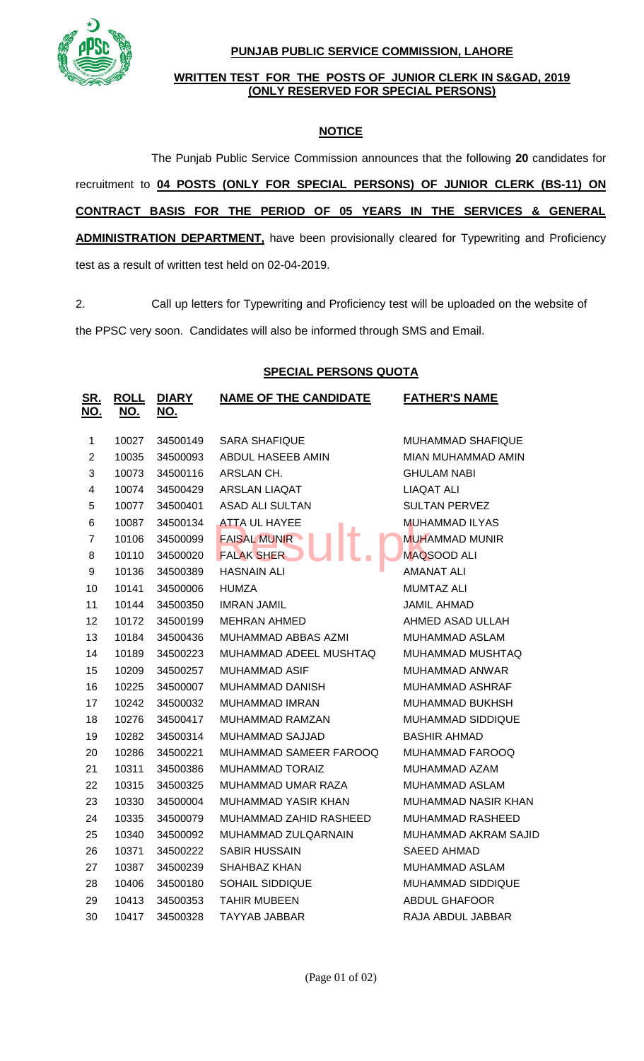

#### **PUNJAB PUBLIC SERVICE COMMISSION, LAHORE**

#### **WRITTEN TEST FOR THE POSTS OF JUNIOR CLERK IN S&GAD, 2019 (ONLY RESERVED FOR SPECIAL PERSONS)**

## **NOTICE**

The Punjab Public Service Commission announces that the following **20** candidates for recruitment to **04 POSTS (ONLY FOR SPECIAL PERSONS) OF JUNIOR CLERK (BS-11) ON CONTRACT BASIS FOR THE PERIOD OF 05 YEARS IN THE SERVICES & GENERAL ADMINISTRATION DEPARTMENT,** have been provisionally cleared for Typewriting and Proficiency test as a result of written test held on 02-04-2019.

2. Call up letters for Typewriting and Proficiency test will be uploaded on the website of

the PPSC very soon. Candidates will also be informed through SMS and Email.

### **SPECIAL PERSONS QUOTA**

| <u>SR.</u><br><u>NO.</u> | <b>ROLL</b><br><u>NO.</u> | <b>DIARY</b><br><u>NO.</u> | <b>NAME OF THE CANDIDATE</b> | <b>FATHER'S NAME</b>  |
|--------------------------|---------------------------|----------------------------|------------------------------|-----------------------|
| $\mathbf{1}$             | 10027                     | 34500149                   | <b>SARA SHAFIQUE</b>         | MUHAMMAD SHAFIQUE     |
| $\overline{c}$           | 10035                     | 34500093                   | ABDUL HASEEB AMIN            | MIAN MUHAMMAD AMIN    |
| 3                        | 10073                     | 34500116                   | ARSLAN CH.                   | <b>GHULAM NABI</b>    |
| $\overline{\mathbf{4}}$  | 10074                     | 34500429                   | ARSLAN LIAQAT                | LIAQAT ALI            |
| 5                        | 10077                     | 34500401                   | <b>ASAD ALI SULTAN</b>       | <b>SULTAN PERVEZ</b>  |
| 6                        | 10087                     | 34500134                   | <b>ATTA UL HAYEE</b>         | <b>MUHAMMAD ILYAS</b> |
| $\overline{7}$           | 10106                     | 34500099                   | <b>FAISAL MUNIR -</b>        | <b>MUHAMMAD MUNIR</b> |
| 8                        | 10110                     | 34500020                   | <b>FALAK SHER</b>            | <b>MAQSOOD ALI</b>    |
| 9                        | 10136                     | 34500389                   | HASNAIN ALI                  | AMANAT ALI            |
| 10                       | 10141                     | 34500006                   | <b>HUMZA</b>                 | <b>MUMTAZ ALI</b>     |
| 11                       | 10144                     | 34500350                   | <b>IMRAN JAMIL</b>           | <b>JAMIL AHMAD</b>    |
| 12                       | 10172                     | 34500199                   | <b>MEHRAN AHMED</b>          | AHMED ASAD ULLAH      |
| 13                       | 10184                     | 34500436                   | MUHAMMAD ABBAS AZMI          | MUHAMMAD ASLAM        |
| 14                       | 10189                     | 34500223                   | MUHAMMAD ADEEL MUSHTAQ       | MUHAMMAD MUSHTAQ      |
| 15                       | 10209                     | 34500257                   | <b>MUHAMMAD ASIF</b>         | <b>MUHAMMAD ANWAR</b> |
| 16                       | 10225                     | 34500007                   | <b>MUHAMMAD DANISH</b>       | MUHAMMAD ASHRAF       |
| 17                       | 10242                     | 34500032                   | <b>MUHAMMAD IMRAN</b>        | MUHAMMAD BUKHSH       |
| 18                       | 10276                     | 34500417                   | MUHAMMAD RAMZAN              | MUHAMMAD SIDDIQUE     |
| 19                       | 10282                     | 34500314                   | MUHAMMAD SAJJAD              | <b>BASHIR AHMAD</b>   |
| 20                       | 10286                     | 34500221                   | MUHAMMAD SAMEER FAROOQ       | MUHAMMAD FAROOQ       |
| 21                       | 10311                     | 34500386                   | <b>MUHAMMAD TORAIZ</b>       | MUHAMMAD AZAM         |
| 22                       | 10315                     | 34500325                   | MUHAMMAD UMAR RAZA           | MUHAMMAD ASLAM        |
| 23                       | 10330                     | 34500004                   | MUHAMMAD YASIR KHAN          | MUHAMMAD NASIR KHAN   |
| 24                       | 10335                     | 34500079                   | MUHAMMAD ZAHID RASHEED       | MUHAMMAD RASHEED      |
| 25                       | 10340                     | 34500092                   | MUHAMMAD ZULQARNAIN          | MUHAMMAD AKRAM SAJID  |
| 26                       | 10371                     | 34500222                   | <b>SABIR HUSSAIN</b>         | <b>SAEED AHMAD</b>    |
| 27                       | 10387                     | 34500239                   | SHAHBAZ KHAN                 | MUHAMMAD ASLAM        |
| 28                       | 10406                     | 34500180                   | SOHAIL SIDDIQUE              | MUHAMMAD SIDDIQUE     |
| 29                       | 10413                     | 34500353                   | <b>TAHIR MUBEEN</b>          | <b>ABDUL GHAFOOR</b>  |
| 30                       | 10417                     | 34500328                   | TAYYAB JABBAR                | RAJA ABDUL JABBAR     |